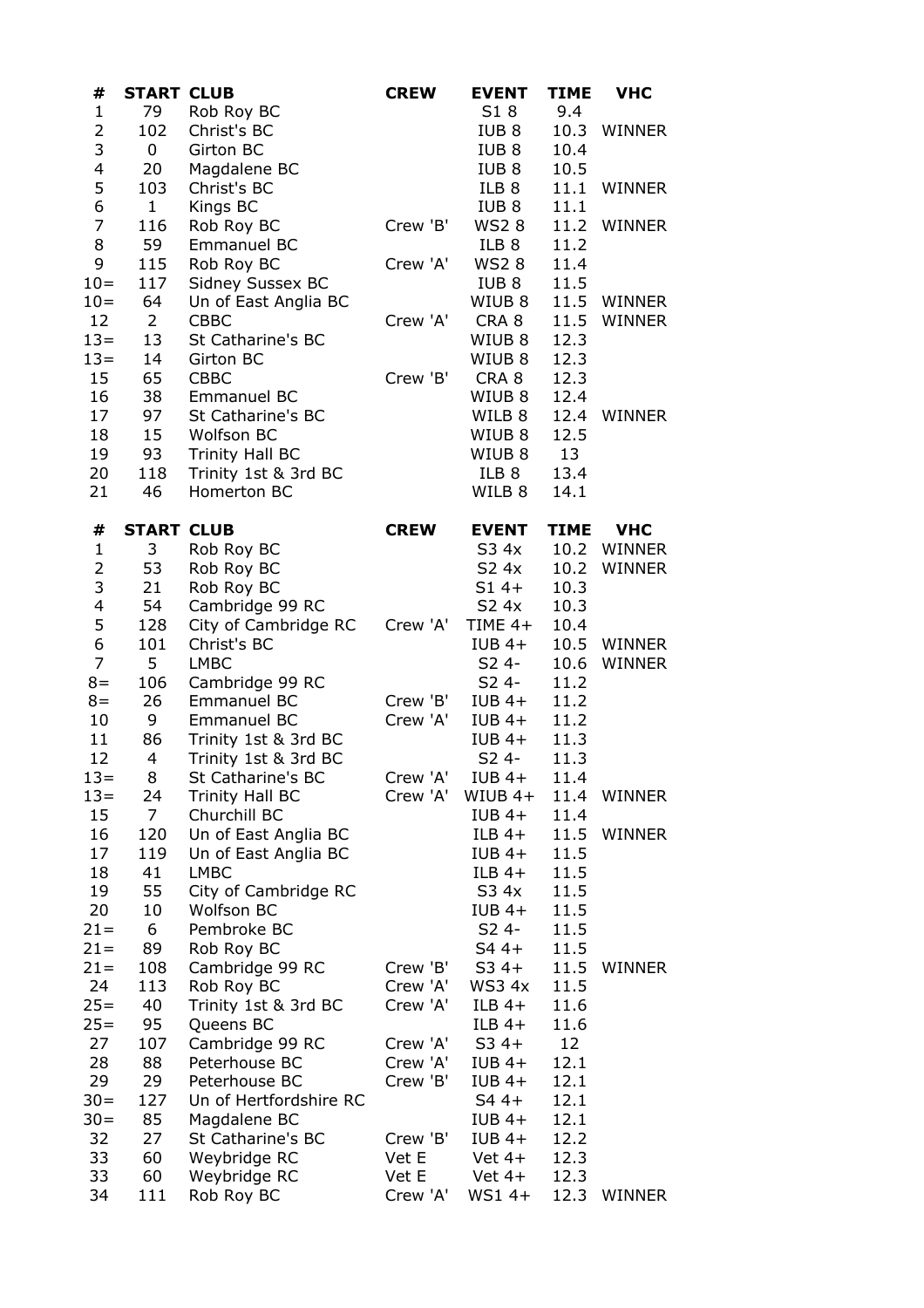| #                       | <b>START CLUB</b> |                        | <b>CREW</b> | <b>EVENT</b>      | <b>TIME</b> | <b>VHC</b>  |
|-------------------------|-------------------|------------------------|-------------|-------------------|-------------|-------------|
| $\mathbf{1}$            | 79                | Rob Roy BC             |             | S18               | 9.4         |             |
| $\mathbf 2$             | 102               | Christ's BC            |             | IUB <sub>8</sub>  | 10.3        | WINNER      |
| 3                       | $\mathbf{0}$      | Girton BC              |             | IUB <sub>8</sub>  | 10.4        |             |
| $\overline{\mathbf{4}}$ | 20                | Magdalene BC           |             | IUB <sub>8</sub>  | 10.5        |             |
| 5                       | 103               | Christ's BC            |             | ILB 8             | 11.1        | WINNER      |
| 6                       | 1                 | Kings BC               |             | IUB 8             | 11.1        |             |
| $\overline{7}$          | 116               | Rob Roy BC             | Crew 'B'    | WS2 8             |             | 11.2 WINNER |
| 8                       | 59                | Emmanuel BC            |             | ILB 8             | 11.2        |             |
| 9                       | 115               | Rob Roy BC             | Crew 'A'    | WS2 8             | 11.4        |             |
| $10 =$                  | 117               | Sidney Sussex BC       |             | IUB 8             | 11.5        |             |
| $10 =$                  | 64                | Un of East Anglia BC   |             | WIUB 8            |             | 11.5 WINNER |
| 12                      | $2^{\circ}$       | CBBC                   | Crew 'A'    | CRA 8             | 11.5        | WINNER      |
| $13 =$                  | 13                | St Catharine's BC      |             | WIUB <sub>8</sub> | 12.3        |             |
| $13 =$                  | 14                | Girton BC              |             | WIUB 8            | 12.3        |             |
| 15                      | 65                | CBBC                   | Crew 'B'    | CRA <sub>8</sub>  | 12.3        |             |
| 16                      | 38                | Emmanuel BC            |             | WIUB <sub>8</sub> | 12.4        |             |
| 17                      | 97                | St Catharine's BC      |             | WILB 8            |             | 12.4 WINNER |
| 18                      | 15 <sub>1</sub>   | <b>Wolfson BC</b>      |             | WIUB 8            | 12.5        |             |
| 19                      | 93                | Trinity Hall BC        |             | WIUB <sub>8</sub> | 13          |             |
| 20                      | 118               | Trinity 1st & 3rd BC   |             | ILB 8             | 13.4        |             |
| 21                      | 46                | Homerton BC            |             | WILB 8            | 14.1        |             |
| #                       | <b>START CLUB</b> |                        | <b>CREW</b> | <b>EVENT</b>      | <b>TIME</b> | <b>VHC</b>  |
| $\mathbf{1}$            | 3                 | Rob Roy BC             |             | S3 4x             |             | 10.2 WINNER |
| $\overline{c}$          | 53                | Rob Roy BC             |             | S2 4x             | 10.2        | WINNER      |
| 3                       | 21                | Rob Roy BC             |             | $S14+$            | 10.3        |             |
| $\overline{\mathbf{4}}$ | 54                | Cambridge 99 RC        |             | S2 4x             | 10.3        |             |
| 5                       | 128               | City of Cambridge RC   | Crew 'A'    | TIME $4+$         | 10.4        |             |
| 6                       | 101               | Christ's BC            |             | $IUB$ 4+          |             | 10.5 WINNER |
| $\overline{7}$          | 5                 | <b>LMBC</b>            |             | S2 4-             | 10.6        | WINNER      |
| $8 =$                   | 106               | Cambridge 99 RC        |             | S2 4-             | 11.2        |             |
| $8 =$                   | 26                | Emmanuel BC            | Crew 'B'    | $IUB$ 4+          | 11.2        |             |
| 10                      | 9                 | Emmanuel BC            | Crew 'A'    | $IUB$ 4+          | 11.2        |             |
| 11                      | 86                | Trinity 1st & 3rd BC   |             | $IUB$ 4+          | 11.3        |             |
| 12                      | $\overline{4}$    | Trinity 1st & 3rd BC   |             | S2 4-             | 11.3        |             |
| $13 =$                  | 8                 | St Catharine's BC      | Crew 'A'    | IUB 4+            | 11.4        |             |
| $13 =$                  | 24                | Trinity Hall BC        | Crew 'A'    | $WIUB$ 4+         |             | 11.4 WINNER |
| 15                      | 7 <sup>7</sup>    | Churchill BC           |             | $IUB$ 4+          | 11.4        |             |
| 16                      | 120               | Un of East Anglia BC   |             | $ILB$ 4+          | 11.5        | WINNER      |
| 17                      | 119               | Un of East Anglia BC   |             | $IUB$ 4+          | 11.5        |             |
| 18                      | 41                | <b>LMBC</b>            |             | $ILB$ 4+          | 11.5        |             |
| 19                      | 55                | City of Cambridge RC   |             | S3 4x             | 11.5        |             |
| 20                      | 10                | Wolfson BC             |             | $IUB 4+$          | 11.5        |             |
| $21 =$                  | 6                 | Pembroke BC            |             | S2 4-             | 11.5        |             |
| $21 =$                  | 89                | Rob Roy BC             |             | S4 4+             | 11.5        |             |
| $21 =$                  | 108               | Cambridge 99 RC        | Crew 'B'    | S3 4+             | 11.5        | WINNER      |
| 24                      | 113               | Rob Roy BC             | Crew 'A'    | WS3 4x            | 11.5        |             |
| $25 =$                  | 40                | Trinity 1st & 3rd BC   | Crew 'A'    | $ILB$ 4+          | 11.6        |             |
| $25 =$                  | 95                | Queens BC              |             | $ILB$ 4+          | 11.6        |             |
| 27                      | 107               | Cambridge 99 RC        | Crew 'A'    | $S34+$            | 12          |             |
| 28                      | 88                | Peterhouse BC          | Crew 'A'    | $IUB$ 4+          | 12.1        |             |
| 29                      | 29                | Peterhouse BC          | Crew 'B'    | $IUB$ 4+          | 12.1        |             |
| $30 =$                  | 127               | Un of Hertfordshire RC |             | S4 4+             | 12.1        |             |
| $30 =$                  | 85                | Magdalene BC           |             | $IUB 4+$          | 12.1        |             |
| 32                      | 27                | St Catharine's BC      | Crew 'B'    | $IUB 4+$          | 12.2        |             |
| 33                      | 60                | Weybridge RC           | Vet E       | Vet $4+$          | 12.3        |             |
| 33                      | 60                | Weybridge RC           | Vet E       | $Vert 4+$         | 12.3        |             |
| 34                      | 111               | Rob Roy BC             | Crew 'A'    | $WS14+$           | 12.3        | WINNER      |